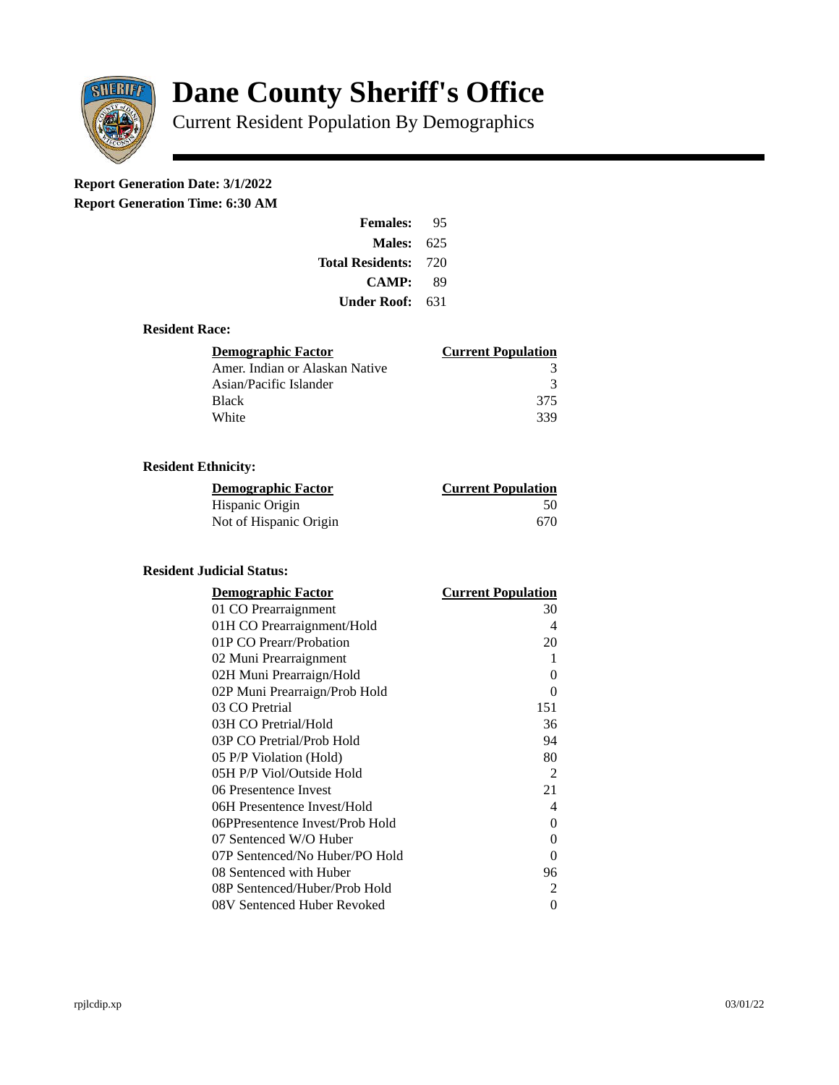

# **Dane County Sheriff's Office**

Current Resident Population By Demographics

# **Report Generation Date: 3/1/2022**

**Report Generation Time: 6:30 AM** 

| <b>Females:</b>         | 95   |
|-------------------------|------|
| Males:                  | 625  |
| <b>Total Residents:</b> | -720 |
| <b>CAMP:</b>            | 89   |
| Under Roof:             | 631  |

# **Resident Race:**

| <b>Demographic Factor</b>      | <b>Current Population</b> |
|--------------------------------|---------------------------|
| Amer. Indian or Alaskan Native |                           |
| Asian/Pacific Islander         | २                         |
| <b>Black</b>                   | 375                       |
| White                          | 339                       |

# **Resident Ethnicity:**

| <u>Demographic Factor</u> | <u>Current Population</u> |
|---------------------------|---------------------------|
| Hispanic Origin           | 50                        |
| Not of Hispanic Origin    | 670                       |

# **Resident Judicial Status:**

| <b>Demographic Factor</b>       | <b>Current Population</b> |
|---------------------------------|---------------------------|
| 01 CO Prearraignment            | 30                        |
| 01H CO Prearraignment/Hold      | 4                         |
| 01P CO Prearr/Probation         | 20                        |
| 02 Muni Prearraignment          | 1                         |
| 02H Muni Prearraign/Hold        | 0                         |
| 02P Muni Prearraign/Prob Hold   | 0                         |
| 03 CO Pretrial                  | 151                       |
| 03H CO Pretrial/Hold            | 36                        |
| 03P CO Pretrial/Prob Hold       | 94                        |
| 05 P/P Violation (Hold)         | 80                        |
| 05H P/P Viol/Outside Hold       | 2                         |
| 06 Presentence Invest           | 21                        |
| 06H Presentence Invest/Hold     | 4                         |
| 06PPresentence Invest/Prob Hold | 0                         |
| 07 Sentenced W/O Huber          | 0                         |
| 07P Sentenced/No Huber/PO Hold  | 0                         |
| 08 Sentenced with Huber         | 96                        |
| 08P Sentenced/Huber/Prob Hold   | 2                         |
| 08V Sentenced Huber Revoked     | 0                         |